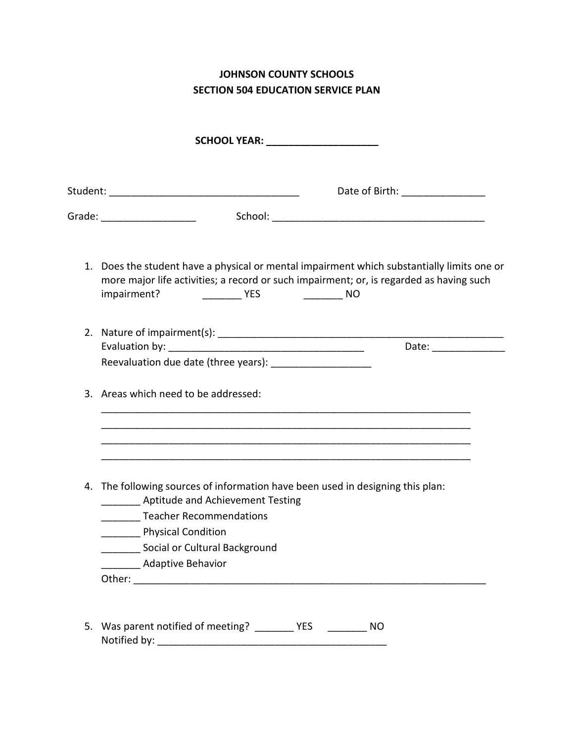**JOHNSON COUNTY SCHOOLS SECTION 504 EDUCATION SERVICE PLAN** 

|  | SCHOOL YEAR: ______________________                                                                                                                                                                  |
|--|------------------------------------------------------------------------------------------------------------------------------------------------------------------------------------------------------|
|  | Date of Birth: ________________                                                                                                                                                                      |
|  | Grade: _____________________                                                                                                                                                                         |
|  | 1. Does the student have a physical or mental impairment which substantially limits one or<br>more major life activities; a record or such impairment; or, is regarded as having such<br>impairment? |
|  | Date: _______________<br>Reevaluation due date (three years): _____________________                                                                                                                  |
|  | 3. Areas which need to be addressed:                                                                                                                                                                 |
|  |                                                                                                                                                                                                      |
|  | 4. The following sources of information have been used in designing this plan:<br>_________ Aptitude and Achievement Testing<br>_________ Teacher Recommendations                                    |
|  | Physical Condition                                                                                                                                                                                   |
|  | ______ Social or Cultural Background                                                                                                                                                                 |
|  | <b>Adaptive Behavior</b>                                                                                                                                                                             |
|  |                                                                                                                                                                                                      |

Notified by: \_\_\_\_\_\_\_\_\_\_\_\_\_\_\_\_\_\_\_\_\_\_\_\_\_\_\_\_\_\_\_\_\_\_\_\_\_\_\_\_\_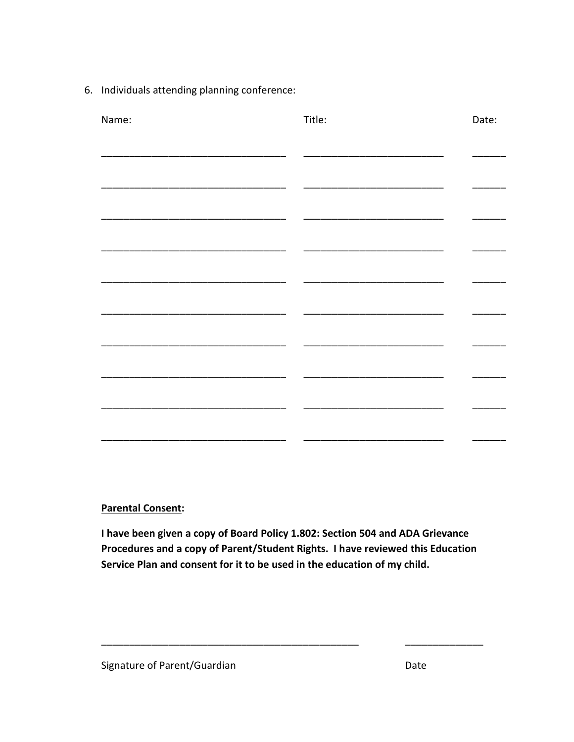6. Individuals attending planning conference:

| Name: | Title: | Date: |
|-------|--------|-------|
|       |        |       |
|       |        |       |
|       |        |       |
|       |        |       |
|       |        |       |
|       |        |       |
|       |        |       |
|       |        |       |
|       |        |       |
|       |        |       |
|       |        |       |
|       |        |       |
|       |        |       |
|       |        |       |

**Parental Consent:** 

I have been given a copy of Board Policy 1.802: Section 504 and ADA Grievance Procedures and a copy of Parent/Student Rights. I have reviewed this Education Service Plan and consent for it to be used in the education of my child.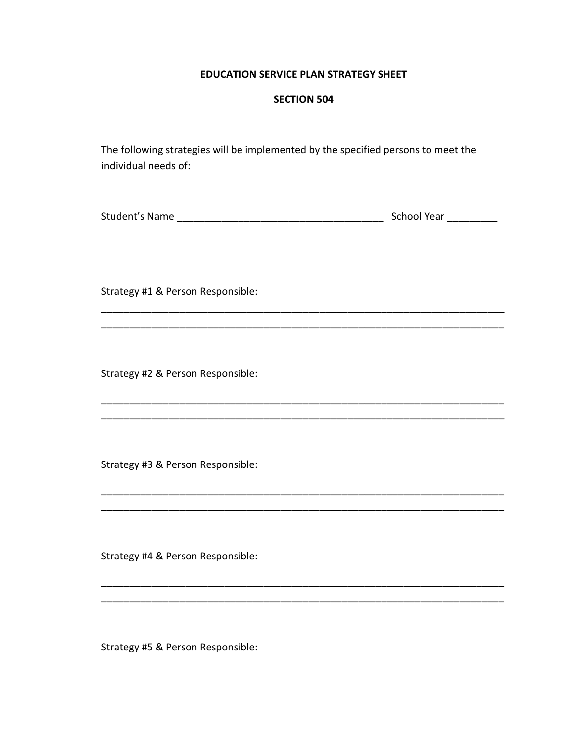## **EDUCATION SERVICE PLAN STRATEGY SHEET**

## **SECTION 504**

The following strategies will be implemented by the specified persons to meet the individual needs of:

| Student's Name | School Year |
|----------------|-------------|
|                |             |

\_\_\_\_\_\_\_\_\_\_\_\_\_\_\_\_\_\_\_\_\_\_\_\_\_\_\_\_\_\_\_\_\_\_\_\_\_\_\_\_\_\_\_\_\_\_\_\_\_\_\_\_\_\_\_\_\_\_\_\_\_\_\_\_\_\_\_\_\_\_\_\_

\_\_\_\_\_\_\_\_\_\_\_\_\_\_\_\_\_\_\_\_\_\_\_\_\_\_\_\_\_\_\_\_\_\_\_\_\_\_\_\_\_\_\_\_\_\_\_\_\_\_\_\_\_\_\_\_\_\_\_\_\_\_\_\_\_\_\_\_\_\_\_\_

\_\_\_\_\_\_\_\_\_\_\_\_\_\_\_\_\_\_\_\_\_\_\_\_\_\_\_\_\_\_\_\_\_\_\_\_\_\_\_\_\_\_\_\_\_\_\_\_\_\_\_\_\_\_\_\_\_\_\_\_\_\_\_\_\_\_\_\_\_\_\_\_ \_\_\_\_\_\_\_\_\_\_\_\_\_\_\_\_\_\_\_\_\_\_\_\_\_\_\_\_\_\_\_\_\_\_\_\_\_\_\_\_\_\_\_\_\_\_\_\_\_\_\_\_\_\_\_\_\_\_\_\_\_\_\_\_\_\_\_\_\_\_\_\_

\_\_\_\_\_\_\_\_\_\_\_\_\_\_\_\_\_\_\_\_\_\_\_\_\_\_\_\_\_\_\_\_\_\_\_\_\_\_\_\_\_\_\_\_\_\_\_\_\_\_\_\_\_\_\_\_\_\_\_\_\_\_\_\_\_\_\_\_\_\_\_\_

\_\_\_\_\_\_\_\_\_\_\_\_\_\_\_\_\_\_\_\_\_\_\_\_\_\_\_\_\_\_\_\_\_\_\_\_\_\_\_\_\_\_\_\_\_\_\_\_\_\_\_\_\_\_\_\_\_\_\_\_\_\_\_\_\_\_\_\_\_\_\_\_

 $\_$  ,  $\_$  ,  $\_$  ,  $\_$  ,  $\_$  ,  $\_$  ,  $\_$  ,  $\_$  ,  $\_$  ,  $\_$  ,  $\_$  ,  $\_$  ,  $\_$  ,  $\_$  ,  $\_$  ,  $\_$  ,  $\_$  ,  $\_$  ,  $\_$ 

\_\_\_\_\_\_\_\_\_\_\_\_\_\_\_\_\_\_\_\_\_\_\_\_\_\_\_\_\_\_\_\_\_\_\_\_\_\_\_\_\_\_\_\_\_\_\_\_\_\_\_\_\_\_\_\_\_\_\_\_\_\_\_\_\_\_\_\_\_\_\_\_

Strategy #1 & Person Responsible:

Strategy #2 & Person Responsible:

Strategy #3 & Person Responsible:

Strategy #4 & Person Responsible:

Strategy #5 & Person Responsible: